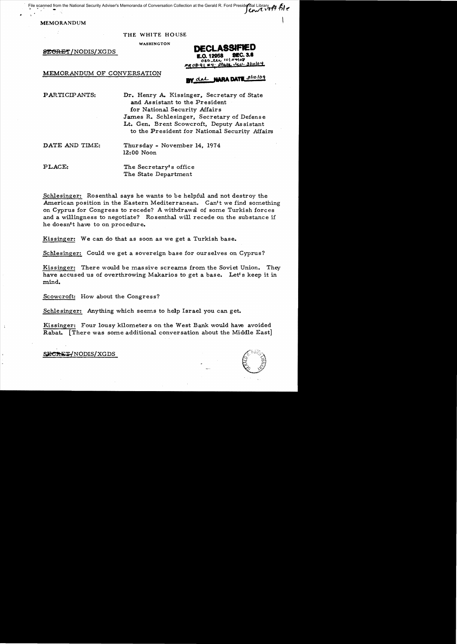File scanned File scanned from the National Security Adviser's Memoranda of Conversation Collection at the Gerald R. Ford Presidential Library

MEMORANDUM

### THE WHITE HOUSE

WASHINGTON

8EGRET/NODIS/XGDS

## MEMORANDUM OF CONVERSATION

# $31000 +$

# del NARA DATE sliolog

PARTICIPANTS: Dr. Henry A. Kissinger, Secretary of State and Assistant to the President for National Security Affairs James R. Schlesinger, Secretary of Defense Lt. Gen. Brent Scowcroft, Deputy As sistant to the President for National Security Affairs

DATE AND TIME: Thursday - November 14, 1974 12:00 Noon

PLACE: The Secretary's office The State Department

Schlesinger: Rosenthal says he wants to be helpful and not destroy the American position in the Eastern Mediterranean. Can't we find something on Cyprus for Congress to recede? A withdrawal of some Turkish forces and a willingness to negotiate? Rosenthal will recede on the substance if he doesn't have to on procedure.

Kissinger: We can do that as soon as we get a Turkish base.

Schlesinger: Could we get a sovereign base for ourselves on Cyprus?

Kissinger: There would be massive screams from the Soviet Union. They have accused us of overthrowing. Makarios to get a base. Let's keep it in mind.

Scowcroft: How about the Congress?

Schlesinger: Anything which seems to help Israel you can get.

Kissinger: Four lousy kilometers on the West Bank would have avoided Rabat. [There was some additional conversation about the Middle East]

\$PCRET/NODIS/XGDS

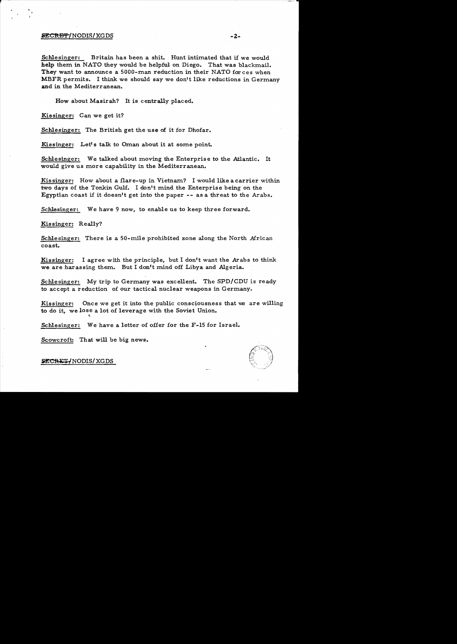### ~C!tEI'f"'/NODISI XGDS -z-

Schlesinger: Britain has been a shit. Hunt intimated that if we would help them in NATO they would be helpful on Diego. That was blackmail. They want to announce a 5000-man reduction in their NATO for ces when MBFR permits. I think we should say we don't like reductions in Germany and in the Mediterranean.

How about Masirah? It is centrally placed.

Kissinger: Can we get it?

Schlesinger: The British get the use of it for Dhofar.

Kissinger: Let's talk to Oman about it at some point.

Schlesinger: We talked about moving the Enterprise to the Atlantic. It would give us more capability in the Mediterranean.

Kissinger: How about a flare-up in Vietnam? I would like a carrier within two days of the Tonkin Gulf. I don't mind the Enterprise being on the Egyptian coast if it doesn't get into the paper  $-$ - as a threat to the Arabs.

Schlesinger: We have 9 now, to enable us to keep three forward.

Kissinger: Really?

Schlesinger: There is a 50-mile prohibited zone along the North African coast.

Kissinger: I agree with the principle, but I don't want the Arabs to think we are harassing them. But I don't mind off Libya and Algeria.

Schlesinger: My trip to Germany was excellent. The SPD/CDU is ready to accept a reduction of our tactical nuclear weapons in Germany.

Kissinger: Once we get it into the public consciousness that we are willing to do it, we lose a lot of leverage with the Soviet Union.

Schlesinger: We have a letter of offer for the F-15 for Israel.

Scowcroft: That will be big news.



SECRET/NODIS/XGDS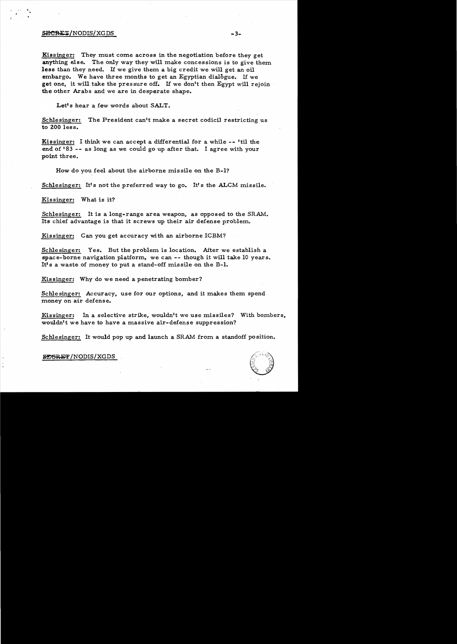## $SECRET/NODIS/XGDS$   $-3-$

Kissinger: They must come across in the negotiation before they get anything else. The only way they will make concessions is to give them less than they need. If we give them a big credit we will get an oil embargo. We have three months to get an Egyptian dialogue. If we get one, it will take the pressure off. If we don't then Egypt will rejoin the other Arabs and we are in desperate shape.

Let's hear a few words about SALT.

Schlesinger: The President can't make a secret codicil restricting us to ZOO less.

Kissinger: I think we can accept a differential for a while -- 'til the end of 183 -- as long as we could go up after that. I agree with your point three.

How do you feel about the airborne missile on the B-1?

Schlesinger: It's not the preferred way to go. It's the ALCM missile.

Kissinger: What is it?

Schlesinger: It is a long-range area weapon, as opposed to the SRAM. Its chief advantage is that it screws up their air defense problem.

Kissinger: Can you get accuracy with an airborne ICBM?

Schle singer: Yes. But the problem is location. After we establish a space-borne navigation platform, we can  $-$ - though it will take 10 years. It's a waste of money to put a stand-off missile on the  $B-1$ .

Kissinger: Why do we need a penetrating bomber?

Schlesinger: Accuracy, use for our options, and it makes them spend money on air defense.

Kissinger: In a selective strike, wouldn't we use missiles? With bombers, wouldn't we have to have a massive air-defense suppression?

Schlesinger: It would pop up and launch a SRAM from a standoff position.



**&EGRET/NODIS/XGDS**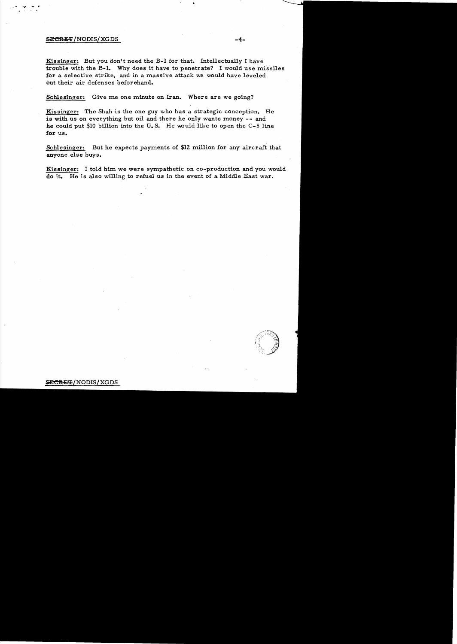### SECRET/NODIS/XGDS

Kissinger: But you don't need the B-1 for that. Intellectually I have trouble with the B-1. Why does it have to penetrate? I would use missiles for a selective strike, and in a massive attack we would have leveled out their air defenses beforehand.

Schlesinger: Give me one minute on Iran. Where are we going?

Kissinger: The Shah is the one guy who has a strategic conception. He is with us on everything but oil and there he only wants money -- and he could put \$10 billion into the U.S. He would like to open the  $C-5$  line for us.

Schlesinger: But he expects payments of \$12 million for any aircraft that anyone else buys.

Kissinger: I told him we were sympathetic on co-production and you would do it. He is also willing to refuel us in the event of a Middle East war.

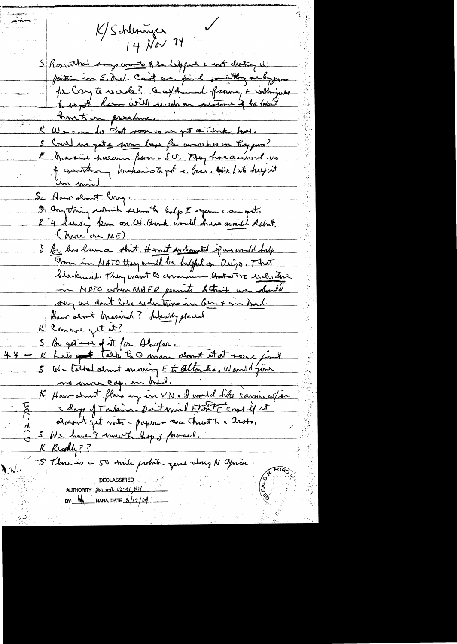K/Schleswiger  $14$  Nov 74 S Rosenthal some cranto & be helpful a not clienty is partir in E. Anel. Court aux faire partiting on bypon Ja Cryte week? Cauparend frame, + with just to wap of home will week on substance of he looks <u> brust on presbure.</u> We can do that soon or us get a Timk has. Could no get a sure los for answer in Eg pro? I travent deseans from c SU. May have account was of constant without of the love. the fit hught <u>Em min</u> Se American Flory. S anything which estern of help I apen campit. K 4 larse, km on W. Bank would have mouth Rabout (More on ME) S Br has been a shit themet portrouted if we would help Those in NATO they would be helpful on Origo. That blackmail. They want to communic that wro selli this - MATO when NIBFR permits Strik we handed sur une dont litre reductions in bien x ma bad. How serve known ? Are up placed K Concre get it? S Be get use of it for Alaspar.<br>Il hats got talk to man almost it at torne formet \* \* m S We Cutted about moving Et alternée, Warreld jour me more cap, in theel. K Ham atout flare up in VN. I would like carrier of in comment get with - paper - asce Christ To arots. SWe have 9 mount hop 3 formand. K Riodly?? -5 Thou is a 50 mile prohib zone along N aprica.  $\sqrt{\sqrt[3]{}}$ AUTHORITY POS mil 08-91, 44 BY  $M_A$  NARA, DATE  $6/17/09$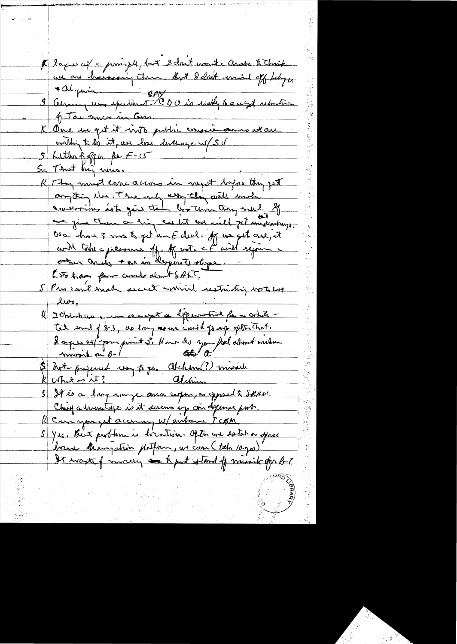\* Laques ces = provinces plus est est en la des la territa algain SPN 3 Cernain com spellant. CDU s'o undly to a wight returning 1 Tac ances in Cors K One me get it viste public consciousnes attach within the it, are lost liverage up 50  $5$  Litter for the  $f-c5$ Sc That his miss. K They must earn a close in myst before they get compting the The endy assy they will much concertions lot gis the boothom tray well. If are given them a big could us will get anxiousny. Ose have 3 mms to get and duel. If us get are, it cont take = pressures off. of not. It will sepone octur and + no in despirate shope. Let has form work det t SALT, 5 Pres can't make secret wind restricting vote 200 les. Ithinkles can accept a beginnerind for a while Tel sould 83, as large are indel go up often that. 2 a pres 05/ pour point 3. How de you feel about meter hot popered voy to go. Alchem (?) missier S It és a long songe avec cepse, as opposed à Skru. Cheese a hour tage is it sevens up con depense port. K Car you get account w/ aubour JCAM S Yes. But problem is livertion. Ofthe are detation offace barne de un patris philfin, est can (tal 10.700) It waste of morey are to put stand of music for B-2